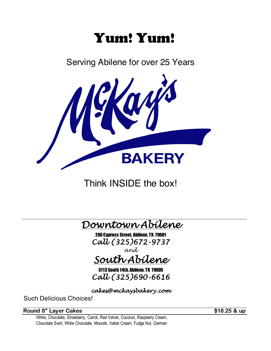# Yum! Yum!

Serving Abilene for over 25 Years



Think INSIDE the box!



266 Cypress Street, Abilene, TX 79601 *Call (325)672-9737*

*and*

*South Abilene*

3113 South 14th, Abilene, TX 79605 *Call (325)690-6616*

*cakes@mckaysbakery.com*

Such Delicious Choices!

**Round 8" Layer Cakes by Called All 25 & up** 

White, Chocolate, Strawberry, Carrot, Red Velvet, Coconut, Raspberry Cream, Chocolate Swirl, White Chocolate, Mounds, Italian Cream, Fudge Nut, German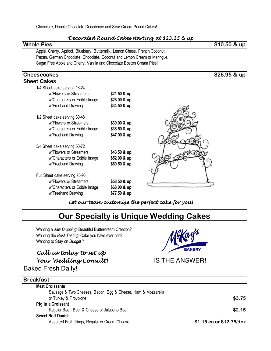### *Decorated Round Cakes starting at \$23.25 & up*

| <b>Whole Pies</b>                                                           |              | $$10.50$ & up                                    |
|-----------------------------------------------------------------------------|--------------|--------------------------------------------------|
| Apple, Cherry, Apricot, Blueberry, Buttermilk, Lemon Chess, French Coconut, |              |                                                  |
| Pecan, German Chocolate, Chocolate, Coconut and Lemon Cream or Meringue,    |              |                                                  |
| Sugar Free Apple and Cherry, Vanilla and Chocolate Boston Cream Pies!       |              |                                                  |
| <b>Cheesecakes</b>                                                          |              | $\sqrt{$26.95}$ & up                             |
| <b>Sheet Cakes</b>                                                          |              |                                                  |
| 1/4 Sheet cake serving 16-24                                                |              |                                                  |
| w/Flowers or Streamers                                                      | \$21.50 & up |                                                  |
| w/Characters or Edible Image                                                | \$28.00 & up |                                                  |
| w/Freehand Drawing                                                          | \$34.50 & up |                                                  |
|                                                                             |              |                                                  |
| 1/2 Sheet cake serving 30-48                                                |              |                                                  |
| w/Flowers or Streamers                                                      | \$30.00 & up |                                                  |
| w/Characters or Edible Image                                                | \$38.50 & up |                                                  |
| w/Freehand Drawing                                                          | \$47.00 & up |                                                  |
| 3/4 Sheet cake serving 50-72                                                |              |                                                  |
| w/Flowers or Streamers                                                      | \$43.50 & up |                                                  |
| w/Characters or Edible Image                                                | \$52.00 & up |                                                  |
| w/Freehand Drawing                                                          | \$60.50 & up |                                                  |
|                                                                             |              |                                                  |
| Full Sheet cake serving 75-96                                               |              |                                                  |
| w/Flowers or Streamers                                                      | \$58.50 & up |                                                  |
| w/Characters or Edible Image                                                | \$68.00 & up |                                                  |
| w/Freehand Drawing                                                          | \$77.50 & up |                                                  |
|                                                                             |              | Let our team customize the perfect cake for you! |
|                                                                             |              | <b>Our Specialty is Unique Wedding Cakes</b>     |
|                                                                             |              |                                                  |
| Wanting a Jaw Dropping Beautiful Buttercream Creation?                      |              |                                                  |
| Wanting the Best Tasting Cake you have ever had?                            |              | McKay's                                          |
| Wanting to Stay on Budget?                                                  |              |                                                  |
|                                                                             |              | <b>BAKERY</b>                                    |
| Call us today to set up                                                     |              |                                                  |
| Your Wedding Consult!                                                       |              | <b>IS THE ANSWER!</b>                            |
| <b>Baked Fresh Daily!</b>                                                   |              |                                                  |

| <b>Breakfast</b>                                             |                          |
|--------------------------------------------------------------|--------------------------|
| <b>Meat Croissants</b>                                       |                          |
| Sausage & Two Cheeses, Bacon, Egg & Cheese, Ham & Mozzarella |                          |
| or Turkey & Provolone                                        | \$3.75                   |
| Pig in a Croissant                                           |                          |
| Regular Beef, Beef & Cheese or Jalapeno Beef                 | \$2.15                   |
| <b>Sweet Roll Danish</b>                                     |                          |
| Assorted Fruit fillings, Regular or Cream Cheese             | \$1.15 ea or \$12.75/doz |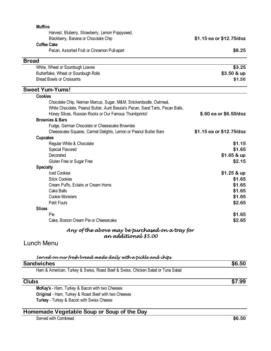| <b>Muffins</b>                                                                  |                          |
|---------------------------------------------------------------------------------|--------------------------|
| Harvest, Bluberry, Strawberry, Lemon Poppyseed,                                 |                          |
| Blackberry, Banana or Chocolate Chip                                            | \$1.15 ea or \$12.75/doz |
| <b>Coffee Cake</b>                                                              |                          |
| Pecan, Assorted Fruit or Cinnamon Pull-apart                                    | \$8.25                   |
| <b>Bread</b>                                                                    |                          |
| White, Wheat or Sourdough Loaves                                                | \$3.25                   |
| Butterflake, Wheat or Sourdough Rolls                                           | \$3.50 & up              |
| <b>Bread Bowls or Croissants</b>                                                | \$1.50                   |
| <b>Sweet Yum-Yums!</b>                                                          |                          |
| <b>Cookies</b>                                                                  |                          |
| Chocolate Chip, Neiman Marcus, Sugar, M&M, Snickerdoodle, Oatmeal,              |                          |
| White Chocolate, Peanut Butter, Aunt Bessie's Pecan, Sand Tarts, Pecan Balls,   |                          |
| Honey Slices, Russian Rocks or Our Famous Thumbprints!                          | \$.60 ea or \$6.50/doz   |
| <b>Brownies &amp; Bars</b>                                                      |                          |
| Fudge, German Chocolate or Cheesecake Brownies                                  |                          |
| Cheesecake Squares, Carmel Delights, Lemon or Peanut Butter Bars                | \$1.15 ea or \$12.75/doz |
| <b>Cupcakes</b>                                                                 |                          |
| Regular White & Chocolate                                                       | \$1.15                   |
| Special Flavored                                                                | \$1.65                   |
| Decorated                                                                       | $$1.65 &$ up             |
| Gluten Free or Sugar Free                                                       | \$2.15                   |
| <b>Specialty</b>                                                                |                          |
| <b>Iced Cookies</b>                                                             | $$1.25 &$ up             |
| <b>Stick Cookies</b>                                                            | \$1.65                   |
| Cream Puffs, Eclairs or Cream Horns                                             | \$1.65                   |
| Cake Balls                                                                      | \$1.65                   |
| <b>Cookie Monsters</b>                                                          | \$1.65                   |
| Petit Fours                                                                     | \$2.65                   |
| <b>Slices</b>                                                                   |                          |
| Pie                                                                             | \$1.65                   |
| Cake, Boston Cream Pie or Cheesecake                                            | \$2.65                   |
| Any of the above may be purchased on a tray for                                 |                          |
| an addítíonal \$5.00                                                            |                          |
| Lunch Menu                                                                      |                          |
| Served on our fresh bread made daily with a pickle and chips                    |                          |
| <b>Sandwiches</b>                                                               | \$6.50                   |
| Ham & American, Turkey & Swiss, Roast Beef & Swiss, Chicken Salad or Tuna Salad |                          |
|                                                                                 |                          |

#### **Clubs \$7.99**

**McKay's** - Ham, Turkey & Bacon with two Cheeses **Original** - Ham, Turkey & Roast Beef with two Cheeses **Turkey** - Turkey & Bacon with Swiss Cheese

# **Homemade Vegetable Soup or Soup of the Day**

Served with Cornbread **\$6.50**